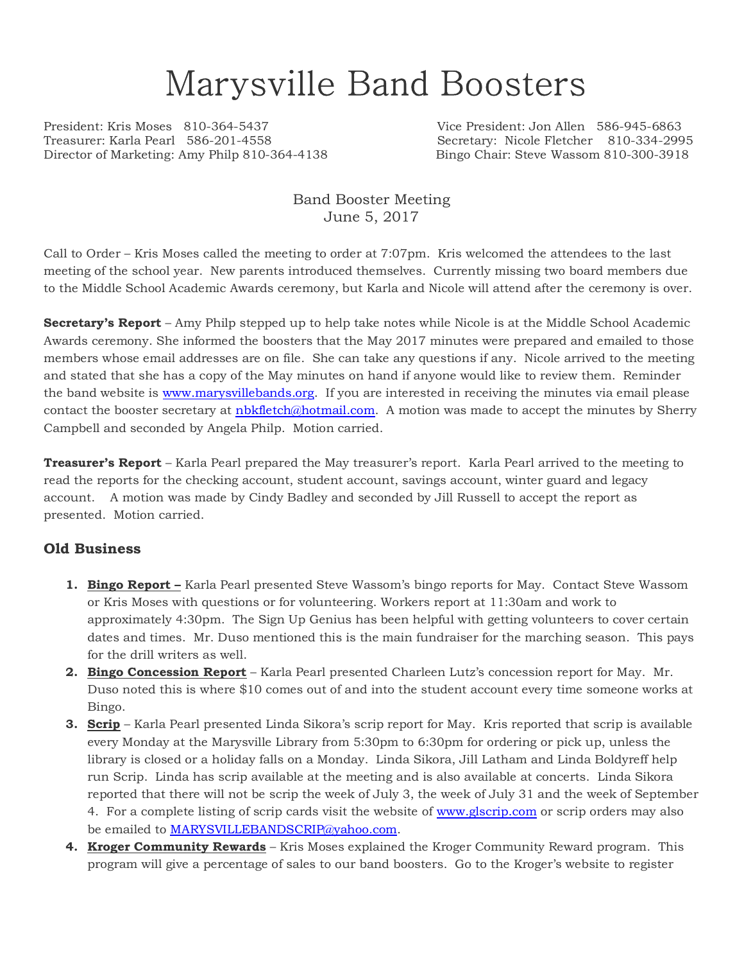# Marysville Band Boosters

President: Kris Moses 810-364-5437 Vice President: Jon Allen 586-945-6863 Director of Marketing: Amy Philp 810-364-4138 Bingo Chair: Steve Wassom 810-300-3918

Secretary: Nicole Fletcher 810-334-2995

#### Band Booster Meeting June 5, 2017

Call to Order – Kris Moses called the meeting to order at 7:07pm. Kris welcomed the attendees to the last meeting of the school year. New parents introduced themselves. Currently missing two board members due to the Middle School Academic Awards ceremony, but Karla and Nicole will attend after the ceremony is over.

**Secretary's Report** – Amy Philp stepped up to help take notes while Nicole is at the Middle School Academic Awards ceremony. She informed the boosters that the May 2017 minutes were prepared and emailed to those members whose email addresses are on file. She can take any questions if any. Nicole arrived to the meeting and stated that she has a copy of the May minutes on hand if anyone would like to review them. Reminder the band website is www.marysvillebands.org. If you are interested in receiving the minutes via email please contact the booster secretary at nbkfletch@hotmail.com. A motion was made to accept the minutes by Sherry Campbell and seconded by Angela Philp. Motion carried.

**Treasurer's Report** – Karla Pearl prepared the May treasurer's report. Karla Pearl arrived to the meeting to read the reports for the checking account, student account, savings account, winter guard and legacy account. A motion was made by Cindy Badley and seconded by Jill Russell to accept the report as presented. Motion carried.

#### **Old Business**

- **1. Bingo Report –** Karla Pearl presented Steve Wassom's bingo reports for May. Contact Steve Wassom or Kris Moses with questions or for volunteering. Workers report at 11:30am and work to approximately 4:30pm. The Sign Up Genius has been helpful with getting volunteers to cover certain dates and times. Mr. Duso mentioned this is the main fundraiser for the marching season. This pays for the drill writers as well.
- **2. Bingo Concession Report** Karla Pearl presented Charleen Lutz's concession report for May. Mr. Duso noted this is where \$10 comes out of and into the student account every time someone works at Bingo.
- **3. Scrip** Karla Pearl presented Linda Sikora's scrip report for May. Kris reported that scrip is available every Monday at the Marysville Library from 5:30pm to 6:30pm for ordering or pick up, unless the library is closed or a holiday falls on a Monday. Linda Sikora, Jill Latham and Linda Boldyreff help run Scrip. Linda has scrip available at the meeting and is also available at concerts. Linda Sikora reported that there will not be scrip the week of July 3, the week of July 31 and the week of September 4. For a complete listing of scrip cards visit the website of www.glscrip.com or scrip orders may also be emailed to MARYSVILLEBANDSCRIP@yahoo.com.
- **4. Kroger Community Rewards** Kris Moses explained the Kroger Community Reward program. This program will give a percentage of sales to our band boosters. Go to the Kroger's website to register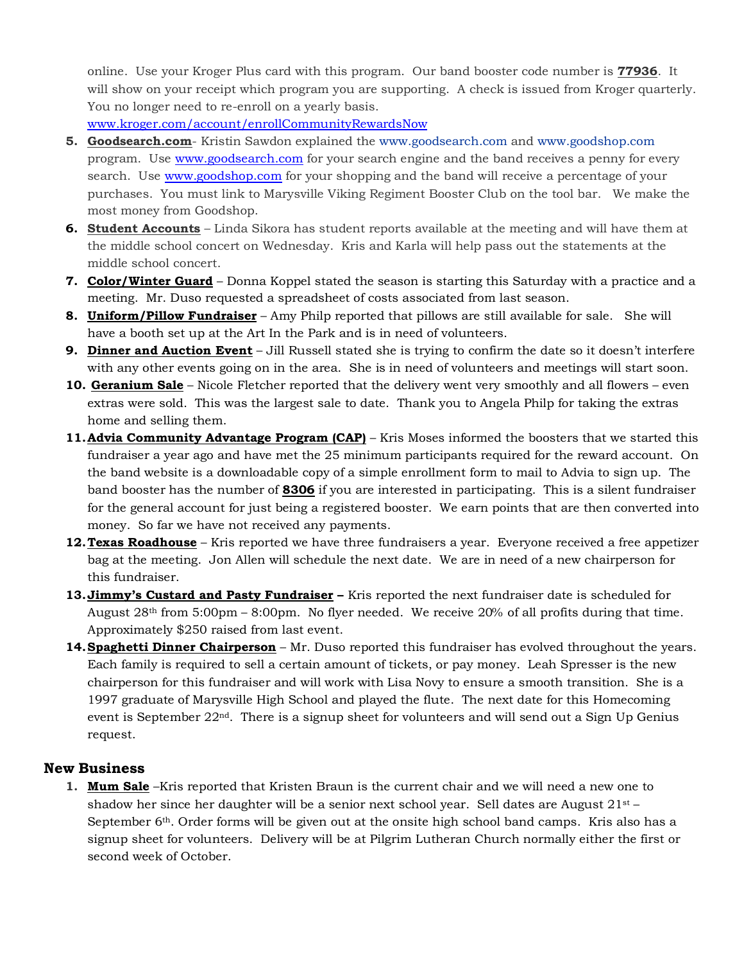online. Use your Kroger Plus card with this program. Our band booster code number is **77936**. It will show on your receipt which program you are supporting. A check is issued from Kroger quarterly. You no longer need to re-enroll on a yearly basis.

www.kroger.com/account/enrollCommunityRewardsNow

- **5. Goodsearch.com** Kristin Sawdon explained the www.goodsearch.com and www.goodshop.com program. Use www.goodsearch.com for your search engine and the band receives a penny for every search. Use www.goodshop.com for your shopping and the band will receive a percentage of your purchases. You must link to Marysville Viking Regiment Booster Club on the tool bar. We make the most money from Goodshop.
- **6. Student Accounts** Linda Sikora has student reports available at the meeting and will have them at the middle school concert on Wednesday. Kris and Karla will help pass out the statements at the middle school concert.
- **7. Color/Winter Guard** Donna Koppel stated the season is starting this Saturday with a practice and a meeting. Mr. Duso requested a spreadsheet of costs associated from last season.
- **8. Uniform/Pillow Fundraiser** Amy Philp reported that pillows are still available for sale. She will have a booth set up at the Art In the Park and is in need of volunteers.
- **9. Dinner and Auction Event** Jill Russell stated she is trying to confirm the date so it doesn't interfere with any other events going on in the area. She is in need of volunteers and meetings will start soon.
- **10. Geranium Sale** Nicole Fletcher reported that the delivery went very smoothly and all flowers even extras were sold. This was the largest sale to date. Thank you to Angela Philp for taking the extras home and selling them.
- **11. Advia Community Advantage Program (CAP)** Kris Moses informed the boosters that we started this fundraiser a year ago and have met the 25 minimum participants required for the reward account. On the band website is a downloadable copy of a simple enrollment form to mail to Advia to sign up. The band booster has the number of **8306** if you are interested in participating. This is a silent fundraiser for the general account for just being a registered booster. We earn points that are then converted into money. So far we have not received any payments.
- **12.Texas Roadhouse** Kris reported we have three fundraisers a year. Everyone received a free appetizer bag at the meeting. Jon Allen will schedule the next date. We are in need of a new chairperson for this fundraiser.
- **13.Jimmy's Custard and Pasty Fundraiser** Kris reported the next fundraiser date is scheduled for August  $28<sup>th</sup>$  from 5:00pm – 8:00pm. No flyer needed. We receive 20% of all profits during that time. Approximately \$250 raised from last event.
- **14.Spaghetti Dinner Chairperson** Mr. Duso reported this fundraiser has evolved throughout the years. Each family is required to sell a certain amount of tickets, or pay money. Leah Spresser is the new chairperson for this fundraiser and will work with Lisa Novy to ensure a smooth transition. She is a 1997 graduate of Marysville High School and played the flute. The next date for this Homecoming event is September  $22<sup>nd</sup>$ . There is a signup sheet for volunteers and will send out a Sign Up Genius request.

#### **New Business**

**1. Mum Sale** –Kris reported that Kristen Braun is the current chair and we will need a new one to shadow her since her daughter will be a senior next school year. Sell dates are August  $21^{st}$  – September 6<sup>th</sup>. Order forms will be given out at the onsite high school band camps. Kris also has a signup sheet for volunteers. Delivery will be at Pilgrim Lutheran Church normally either the first or second week of October.